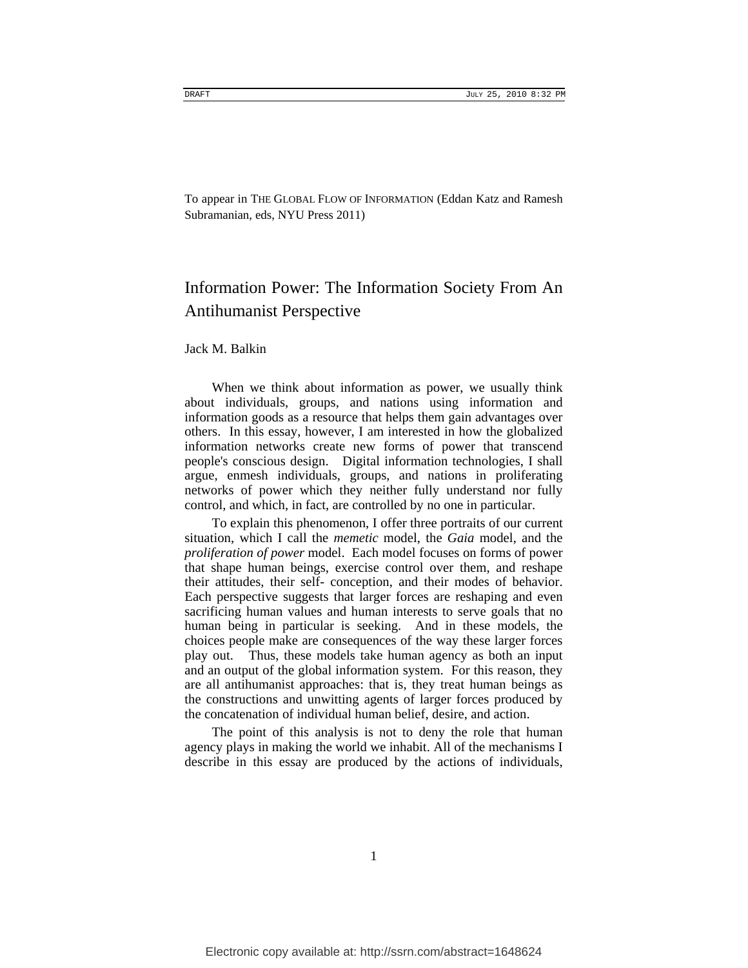To appear in THE GLOBAL FLOW OF INFORMATION (Eddan Katz and Ramesh Subramanian, eds, NYU Press 2011)

# Information Power: The Information Society From An Antihumanist Perspective

Jack M. Balkin

When we think about information as power, we usually think about individuals, groups, and nations using information and information goods as a resource that helps them gain advantages over others. In this essay, however, I am interested in how the globalized information networks create new forms of power that transcend people's conscious design. Digital information technologies, I shall argue, enmesh individuals, groups, and nations in proliferating networks of power which they neither fully understand nor fully control, and which, in fact, are controlled by no one in particular.

To explain this phenomenon, I offer three portraits of our current situation, which I call the *memetic* model, the *Gaia* model, and the *proliferation of power* model. Each model focuses on forms of power that shape human beings, exercise control over them, and reshape their attitudes, their self- conception, and their modes of behavior. Each perspective suggests that larger forces are reshaping and even sacrificing human values and human interests to serve goals that no human being in particular is seeking. And in these models, the choices people make are consequences of the way these larger forces play out. Thus, these models take human agency as both an input and an output of the global information system. For this reason, they are all antihumanist approaches: that is, they treat human beings as the constructions and unwitting agents of larger forces produced by the concatenation of individual human belief, desire, and action.

The point of this analysis is not to deny the role that human agency plays in making the world we inhabit. All of the mechanisms I describe in this essay are produced by the actions of individuals,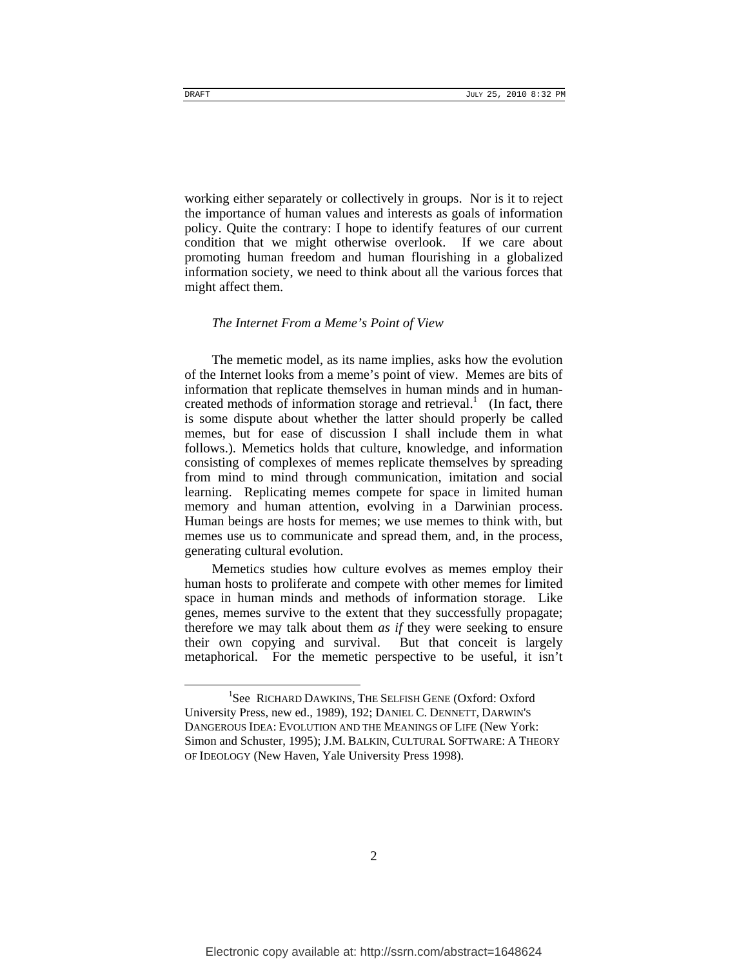working either separately or collectively in groups. Nor is it to reject the importance of human values and interests as goals of information policy. Quite the contrary: I hope to identify features of our current condition that we might otherwise overlook. If we care about promoting human freedom and human flourishing in a globalized information society, we need to think about all the various forces that might affect them.

### *The Internet From a Meme's Point of View*

The memetic model, as its name implies, asks how the evolution of the Internet looks from a meme's point of view. Memes are bits of information that replicate themselves in human minds and in humancreated methods of information storage and retrieval.<sup>1</sup> (In fact, there is some dispute about whether the latter should properly be called memes, but for ease of discussion I shall include them in what follows.). Memetics holds that culture, knowledge, and information consisting of complexes of memes replicate themselves by spreading from mind to mind through communication, imitation and social learning. Replicating memes compete for space in limited human memory and human attention, evolving in a Darwinian process. Human beings are hosts for memes; we use memes to think with, but memes use us to communicate and spread them, and, in the process, generating cultural evolution.

Memetics studies how culture evolves as memes employ their human hosts to proliferate and compete with other memes for limited space in human minds and methods of information storage. Like genes, memes survive to the extent that they successfully propagate; therefore we may talk about them *as if* they were seeking to ensure their own copying and survival. But that conceit is largely metaphorical. For the memetic perspective to be useful, it isn't

<sup>&</sup>lt;u>1</u> <sup>1</sup>See RICHARD DAWKINS, THE SELFISH GENE (Oxford: Oxford University Press, new ed., 1989), 192; DANIEL C. DENNETT, DARWIN'S DANGEROUS IDEA: EVOLUTION AND THE MEANINGS OF LIFE (New York: Simon and Schuster, 1995); J.M. BALKIN, CULTURAL SOFTWARE: A THEORY OF IDEOLOGY (New Haven, Yale University Press 1998).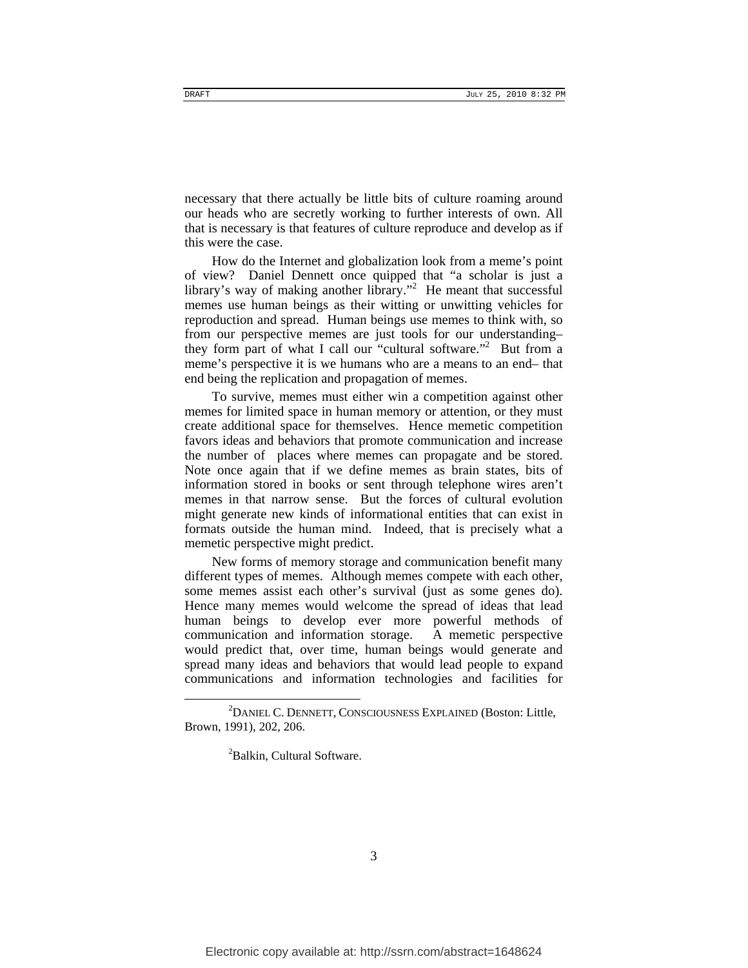necessary that there actually be little bits of culture roaming around our heads who are secretly working to further interests of own. All that is necessary is that features of culture reproduce and develop as if this were the case.

How do the Internet and globalization look from a meme's point of view? Daniel Dennett once quipped that "a scholar is just a library's way of making another library."<sup>2</sup> He meant that successful memes use human beings as their witting or unwitting vehicles for reproduction and spread. Human beings use memes to think with, so from our perspective memes are just tools for our understanding– they form part of what I call our "cultural software."<sup>2</sup> But from a meme's perspective it is we humans who are a means to an end– that end being the replication and propagation of memes.

To survive, memes must either win a competition against other memes for limited space in human memory or attention, or they must create additional space for themselves. Hence memetic competition favors ideas and behaviors that promote communication and increase the number of places where memes can propagate and be stored. Note once again that if we define memes as brain states, bits of information stored in books or sent through telephone wires aren't memes in that narrow sense. But the forces of cultural evolution might generate new kinds of informational entities that can exist in formats outside the human mind. Indeed, that is precisely what a memetic perspective might predict.

New forms of memory storage and communication benefit many different types of memes. Although memes compete with each other, some memes assist each other's survival (just as some genes do). Hence many memes would welcome the spread of ideas that lead human beings to develop ever more powerful methods of communication and information storage. A memetic perspective would predict that, over time, human beings would generate and spread many ideas and behaviors that would lead people to expand communications and information technologies and facilities for

 $\overline{\phantom{a}}$ DANIEL C. DENNETT, CONSCIOUSNESS EXPLAINED (Boston: Little, Brown, 1991), 202, 206.

<sup>&</sup>lt;sup>2</sup>Balkin, Cultural Software.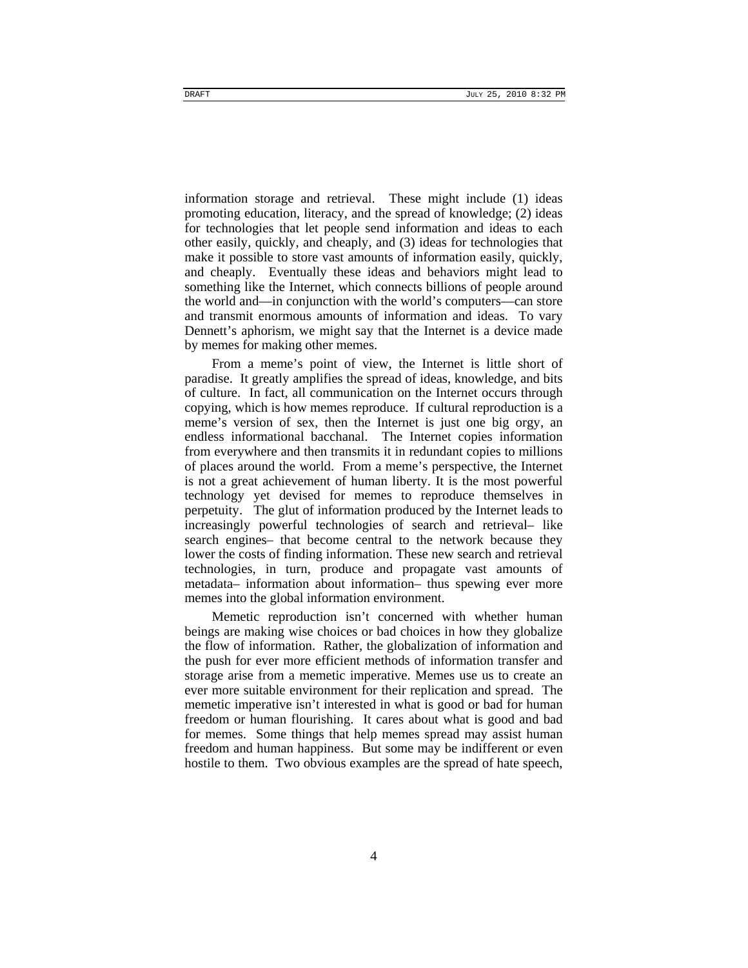information storage and retrieval. These might include (1) ideas promoting education, literacy, and the spread of knowledge; (2) ideas for technologies that let people send information and ideas to each other easily, quickly, and cheaply, and (3) ideas for technologies that make it possible to store vast amounts of information easily, quickly, and cheaply. Eventually these ideas and behaviors might lead to something like the Internet, which connects billions of people around the world and—in conjunction with the world's computers—can store and transmit enormous amounts of information and ideas. To vary Dennett's aphorism, we might say that the Internet is a device made by memes for making other memes.

From a meme's point of view, the Internet is little short of paradise. It greatly amplifies the spread of ideas, knowledge, and bits of culture. In fact, all communication on the Internet occurs through copying, which is how memes reproduce. If cultural reproduction is a meme's version of sex, then the Internet is just one big orgy, an endless informational bacchanal. The Internet copies information from everywhere and then transmits it in redundant copies to millions of places around the world. From a meme's perspective, the Internet is not a great achievement of human liberty. It is the most powerful technology yet devised for memes to reproduce themselves in perpetuity. The glut of information produced by the Internet leads to increasingly powerful technologies of search and retrieval– like search engines– that become central to the network because they lower the costs of finding information. These new search and retrieval technologies, in turn, produce and propagate vast amounts of metadata– information about information– thus spewing ever more memes into the global information environment.

Memetic reproduction isn't concerned with whether human beings are making wise choices or bad choices in how they globalize the flow of information. Rather, the globalization of information and the push for ever more efficient methods of information transfer and storage arise from a memetic imperative. Memes use us to create an ever more suitable environment for their replication and spread. The memetic imperative isn't interested in what is good or bad for human freedom or human flourishing. It cares about what is good and bad for memes. Some things that help memes spread may assist human freedom and human happiness. But some may be indifferent or even hostile to them. Two obvious examples are the spread of hate speech,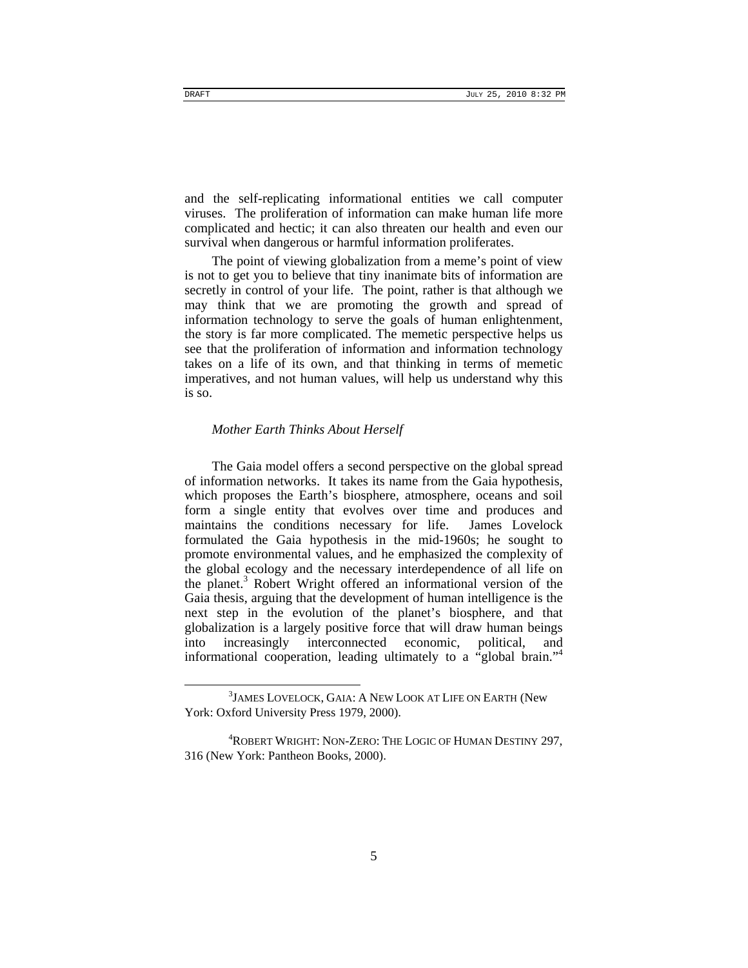and the self-replicating informational entities we call computer viruses. The proliferation of information can make human life more complicated and hectic; it can also threaten our health and even our survival when dangerous or harmful information proliferates.

The point of viewing globalization from a meme's point of view is not to get you to believe that tiny inanimate bits of information are secretly in control of your life. The point, rather is that although we may think that we are promoting the growth and spread of information technology to serve the goals of human enlightenment, the story is far more complicated. The memetic perspective helps us see that the proliferation of information and information technology takes on a life of its own, and that thinking in terms of memetic imperatives, and not human values, will help us understand why this is so.

### *Mother Earth Thinks About Herself*

The Gaia model offers a second perspective on the global spread of information networks. It takes its name from the Gaia hypothesis, which proposes the Earth's biosphere, atmosphere, oceans and soil form a single entity that evolves over time and produces and maintains the conditions necessary for life. James Lovelock formulated the Gaia hypothesis in the mid-1960s; he sought to promote environmental values, and he emphasized the complexity of the global ecology and the necessary interdependence of all life on the planet.<sup>3</sup> Robert Wright offered an informational version of the Gaia thesis, arguing that the development of human intelligence is the next step in the evolution of the planet's biosphere, and that globalization is a largely positive force that will draw human beings into increasingly interconnected economic, political, and informational cooperation, leading ultimately to a "global brain."4

 $\frac{3}{3}$ <sup>3</sup>JAMES LOVELOCK, GAIA: A NEW LOOK AT LIFE ON EARTH (New York: Oxford University Press 1979, 2000).

<sup>4</sup> ROBERT WRIGHT: NON-ZERO: THE LOGIC OF HUMAN DESTINY 297, 316 (New York: Pantheon Books, 2000).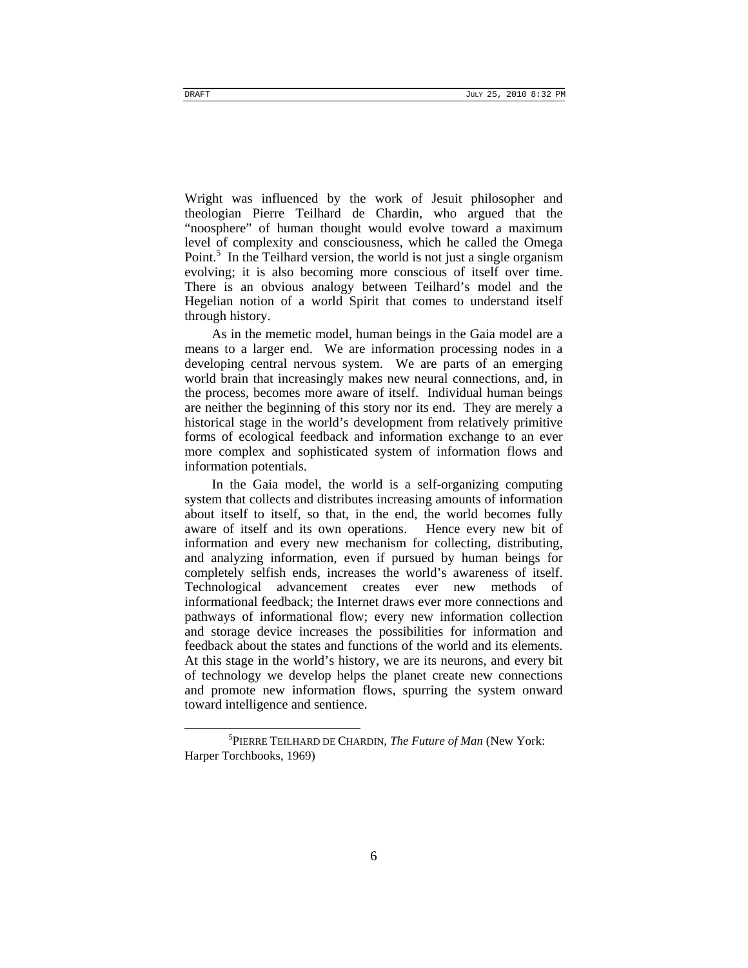Wright was influenced by the work of Jesuit philosopher and theologian Pierre Teilhard de Chardin, who argued that the "noosphere" of human thought would evolve toward a maximum level of complexity and consciousness, which he called the Omega Point.<sup>5</sup> In the Teilhard version, the world is not just a single organism evolving; it is also becoming more conscious of itself over time. There is an obvious analogy between Teilhard's model and the Hegelian notion of a world Spirit that comes to understand itself through history.

As in the memetic model, human beings in the Gaia model are a means to a larger end. We are information processing nodes in a developing central nervous system. We are parts of an emerging world brain that increasingly makes new neural connections, and, in the process, becomes more aware of itself. Individual human beings are neither the beginning of this story nor its end. They are merely a historical stage in the world's development from relatively primitive forms of ecological feedback and information exchange to an ever more complex and sophisticated system of information flows and information potentials.

In the Gaia model, the world is a self-organizing computing system that collects and distributes increasing amounts of information about itself to itself, so that, in the end, the world becomes fully aware of itself and its own operations. Hence every new bit of information and every new mechanism for collecting, distributing, and analyzing information, even if pursued by human beings for completely selfish ends, increases the world's awareness of itself. Technological advancement creates ever new methods of informational feedback; the Internet draws ever more connections and pathways of informational flow; every new information collection and storage device increases the possibilities for information and feedback about the states and functions of the world and its elements. At this stage in the world's history, we are its neurons, and every bit of technology we develop helps the planet create new connections and promote new information flows, spurring the system onward toward intelligence and sentience.

 $\frac{1}{5}$ PIERRE TEILHARD DE CHARDIN, *The Future of Man* (New York: Harper Torchbooks, 1969)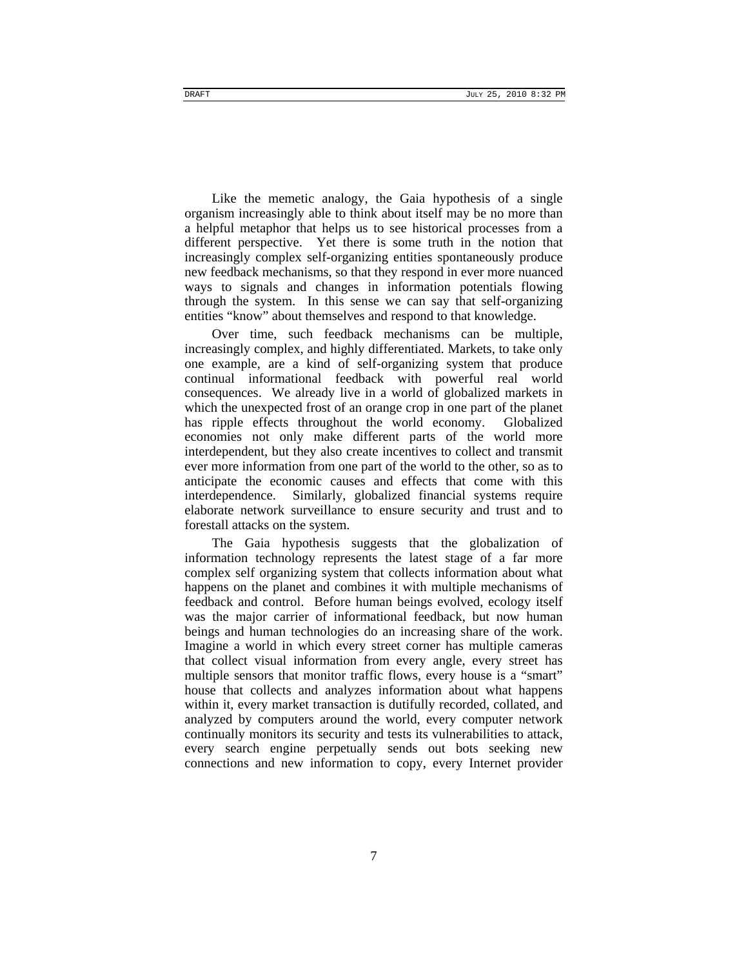Like the memetic analogy, the Gaia hypothesis of a single organism increasingly able to think about itself may be no more than a helpful metaphor that helps us to see historical processes from a different perspective. Yet there is some truth in the notion that increasingly complex self-organizing entities spontaneously produce new feedback mechanisms, so that they respond in ever more nuanced ways to signals and changes in information potentials flowing through the system. In this sense we can say that self-organizing entities "know" about themselves and respond to that knowledge.

Over time, such feedback mechanisms can be multiple, increasingly complex, and highly differentiated. Markets, to take only one example, are a kind of self-organizing system that produce continual informational feedback with powerful real world consequences. We already live in a world of globalized markets in which the unexpected frost of an orange crop in one part of the planet has ripple effects throughout the world economy. Globalized economies not only make different parts of the world more interdependent, but they also create incentives to collect and transmit ever more information from one part of the world to the other, so as to anticipate the economic causes and effects that come with this interdependence. Similarly, globalized financial systems require elaborate network surveillance to ensure security and trust and to forestall attacks on the system.

The Gaia hypothesis suggests that the globalization of information technology represents the latest stage of a far more complex self organizing system that collects information about what happens on the planet and combines it with multiple mechanisms of feedback and control. Before human beings evolved, ecology itself was the major carrier of informational feedback, but now human beings and human technologies do an increasing share of the work. Imagine a world in which every street corner has multiple cameras that collect visual information from every angle, every street has multiple sensors that monitor traffic flows, every house is a "smart" house that collects and analyzes information about what happens within it, every market transaction is dutifully recorded, collated, and analyzed by computers around the world, every computer network continually monitors its security and tests its vulnerabilities to attack, every search engine perpetually sends out bots seeking new connections and new information to copy, every Internet provider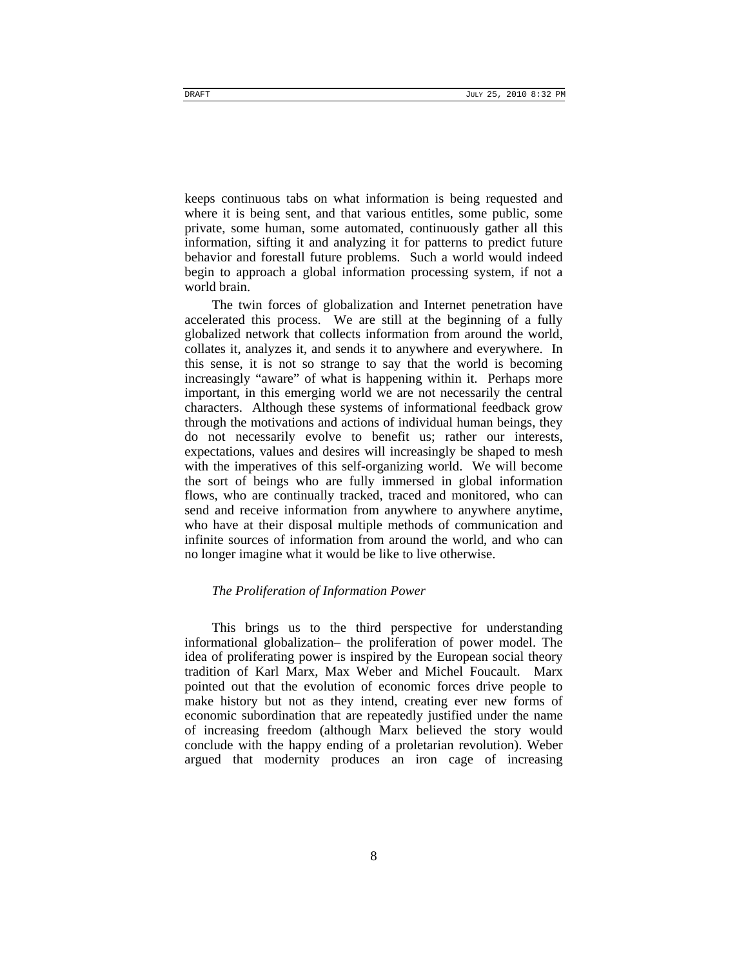keeps continuous tabs on what information is being requested and where it is being sent, and that various entitles, some public, some private, some human, some automated, continuously gather all this information, sifting it and analyzing it for patterns to predict future behavior and forestall future problems. Such a world would indeed begin to approach a global information processing system, if not a world brain.

The twin forces of globalization and Internet penetration have accelerated this process. We are still at the beginning of a fully globalized network that collects information from around the world, collates it, analyzes it, and sends it to anywhere and everywhere. In this sense, it is not so strange to say that the world is becoming increasingly "aware" of what is happening within it. Perhaps more important, in this emerging world we are not necessarily the central characters. Although these systems of informational feedback grow through the motivations and actions of individual human beings, they do not necessarily evolve to benefit us; rather our interests, expectations, values and desires will increasingly be shaped to mesh with the imperatives of this self-organizing world. We will become the sort of beings who are fully immersed in global information flows, who are continually tracked, traced and monitored, who can send and receive information from anywhere to anywhere anytime, who have at their disposal multiple methods of communication and infinite sources of information from around the world, and who can no longer imagine what it would be like to live otherwise.

# *The Proliferation of Information Power*

This brings us to the third perspective for understanding informational globalization– the proliferation of power model. The idea of proliferating power is inspired by the European social theory tradition of Karl Marx, Max Weber and Michel Foucault. Marx pointed out that the evolution of economic forces drive people to make history but not as they intend, creating ever new forms of economic subordination that are repeatedly justified under the name of increasing freedom (although Marx believed the story would conclude with the happy ending of a proletarian revolution). Weber argued that modernity produces an iron cage of increasing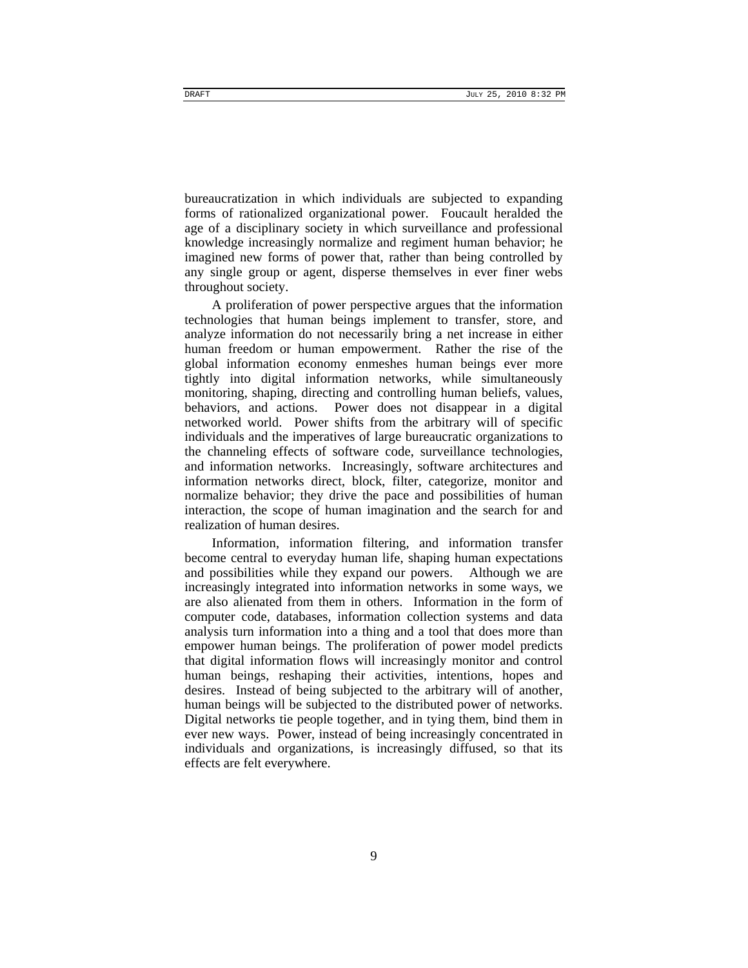bureaucratization in which individuals are subjected to expanding forms of rationalized organizational power. Foucault heralded the age of a disciplinary society in which surveillance and professional knowledge increasingly normalize and regiment human behavior; he imagined new forms of power that, rather than being controlled by any single group or agent, disperse themselves in ever finer webs throughout society.

A proliferation of power perspective argues that the information technologies that human beings implement to transfer, store, and analyze information do not necessarily bring a net increase in either human freedom or human empowerment. Rather the rise of the global information economy enmeshes human beings ever more tightly into digital information networks, while simultaneously monitoring, shaping, directing and controlling human beliefs, values, behaviors, and actions. Power does not disappear in a digital networked world. Power shifts from the arbitrary will of specific individuals and the imperatives of large bureaucratic organizations to the channeling effects of software code, surveillance technologies, and information networks. Increasingly, software architectures and information networks direct, block, filter, categorize, monitor and normalize behavior; they drive the pace and possibilities of human interaction, the scope of human imagination and the search for and realization of human desires.

Information, information filtering, and information transfer become central to everyday human life, shaping human expectations and possibilities while they expand our powers. Although we are increasingly integrated into information networks in some ways, we are also alienated from them in others. Information in the form of computer code, databases, information collection systems and data analysis turn information into a thing and a tool that does more than empower human beings. The proliferation of power model predicts that digital information flows will increasingly monitor and control human beings, reshaping their activities, intentions, hopes and desires. Instead of being subjected to the arbitrary will of another, human beings will be subjected to the distributed power of networks. Digital networks tie people together, and in tying them, bind them in ever new ways. Power, instead of being increasingly concentrated in individuals and organizations, is increasingly diffused, so that its effects are felt everywhere.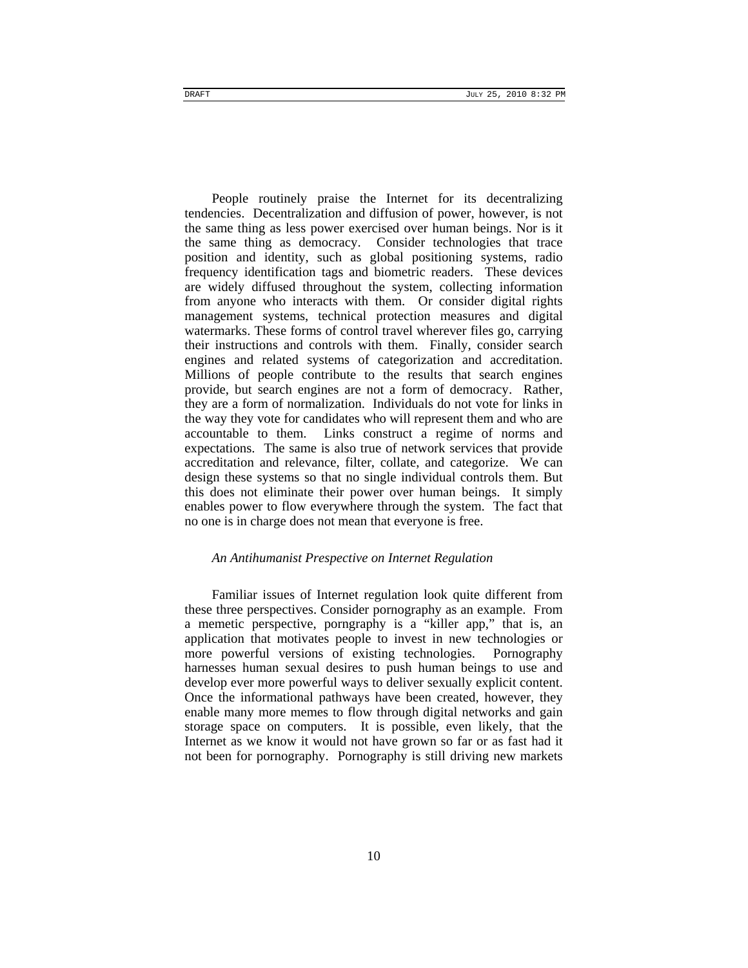People routinely praise the Internet for its decentralizing tendencies. Decentralization and diffusion of power, however, is not the same thing as less power exercised over human beings. Nor is it the same thing as democracy. Consider technologies that trace position and identity, such as global positioning systems, radio frequency identification tags and biometric readers. These devices are widely diffused throughout the system, collecting information from anyone who interacts with them. Or consider digital rights management systems, technical protection measures and digital watermarks. These forms of control travel wherever files go, carrying their instructions and controls with them. Finally, consider search engines and related systems of categorization and accreditation. Millions of people contribute to the results that search engines provide, but search engines are not a form of democracy. Rather, they are a form of normalization. Individuals do not vote for links in the way they vote for candidates who will represent them and who are accountable to them. Links construct a regime of norms and expectations. The same is also true of network services that provide accreditation and relevance, filter, collate, and categorize. We can design these systems so that no single individual controls them. But this does not eliminate their power over human beings. It simply enables power to flow everywhere through the system. The fact that no one is in charge does not mean that everyone is free.

#### *An Antihumanist Prespective on Internet Regulation*

Familiar issues of Internet regulation look quite different from these three perspectives. Consider pornography as an example. From a memetic perspective, porngraphy is a "killer app," that is, an application that motivates people to invest in new technologies or more powerful versions of existing technologies. Pornography harnesses human sexual desires to push human beings to use and develop ever more powerful ways to deliver sexually explicit content. Once the informational pathways have been created, however, they enable many more memes to flow through digital networks and gain storage space on computers. It is possible, even likely, that the Internet as we know it would not have grown so far or as fast had it not been for pornography. Pornography is still driving new markets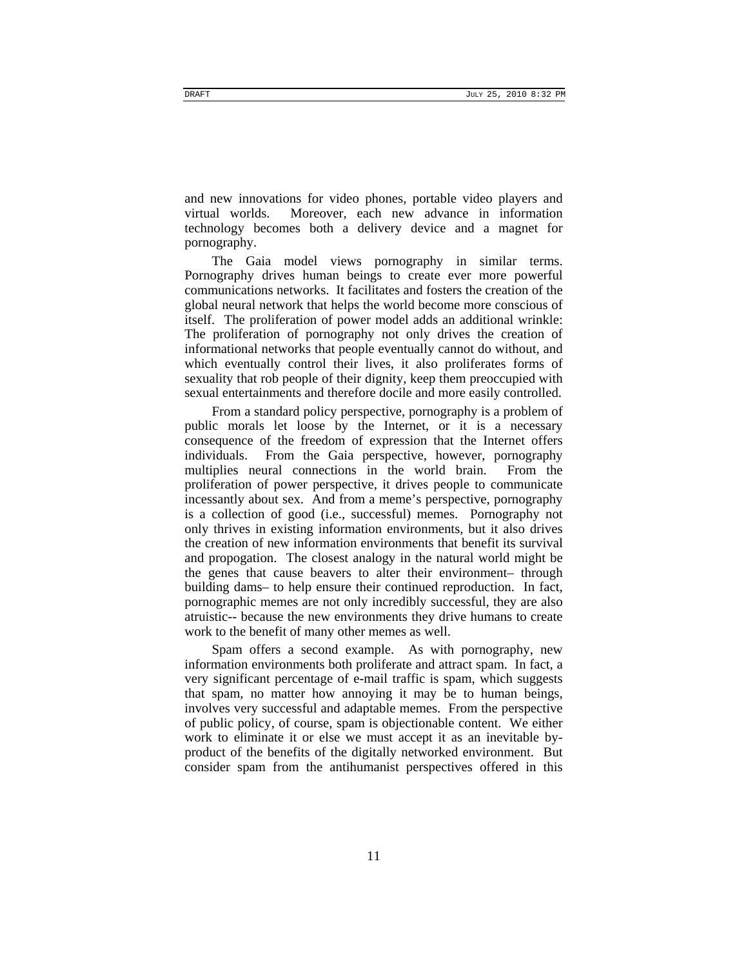and new innovations for video phones, portable video players and virtual worlds. Moreover, each new advance in information technology becomes both a delivery device and a magnet for pornography.

The Gaia model views pornography in similar terms. Pornography drives human beings to create ever more powerful communications networks. It facilitates and fosters the creation of the global neural network that helps the world become more conscious of itself. The proliferation of power model adds an additional wrinkle: The proliferation of pornography not only drives the creation of informational networks that people eventually cannot do without, and which eventually control their lives, it also proliferates forms of sexuality that rob people of their dignity, keep them preoccupied with sexual entertainments and therefore docile and more easily controlled.

From a standard policy perspective, pornography is a problem of public morals let loose by the Internet, or it is a necessary consequence of the freedom of expression that the Internet offers individuals. From the Gaia perspective, however, pornography multiplies neural connections in the world brain. From the proliferation of power perspective, it drives people to communicate incessantly about sex. And from a meme's perspective, pornography is a collection of good (i.e., successful) memes. Pornography not only thrives in existing information environments, but it also drives the creation of new information environments that benefit its survival and propogation. The closest analogy in the natural world might be the genes that cause beavers to alter their environment– through building dams– to help ensure their continued reproduction. In fact, pornographic memes are not only incredibly successful, they are also atruistic-- because the new environments they drive humans to create work to the benefit of many other memes as well.

Spam offers a second example. As with pornography, new information environments both proliferate and attract spam. In fact, a very significant percentage of e-mail traffic is spam, which suggests that spam, no matter how annoying it may be to human beings, involves very successful and adaptable memes. From the perspective of public policy, of course, spam is objectionable content. We either work to eliminate it or else we must accept it as an inevitable byproduct of the benefits of the digitally networked environment. But consider spam from the antihumanist perspectives offered in this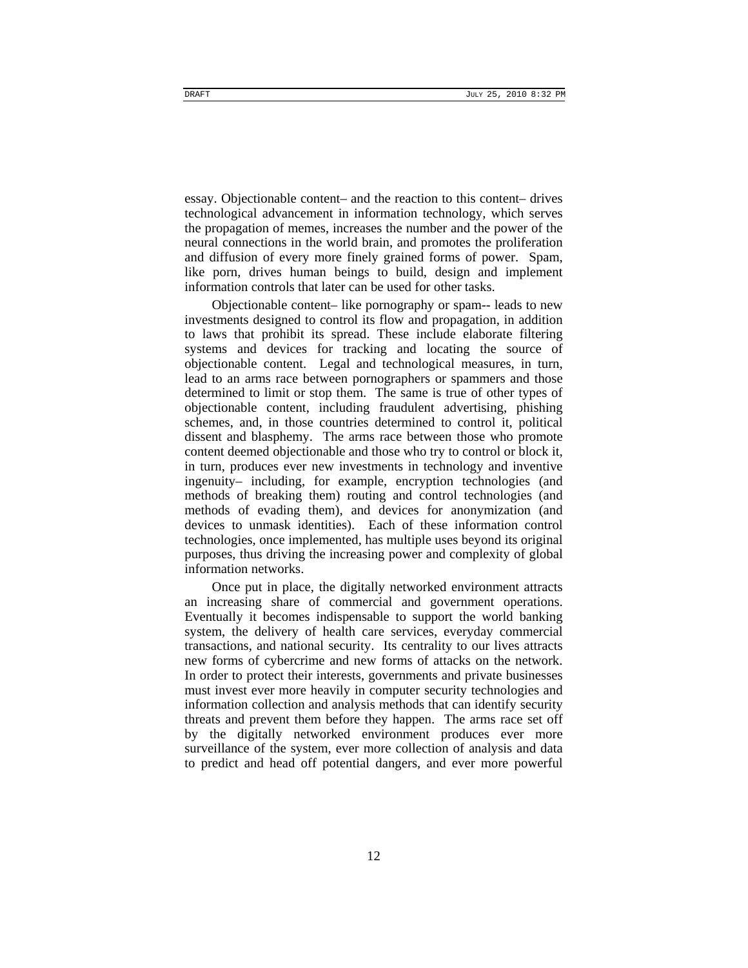essay. Objectionable content– and the reaction to this content– drives technological advancement in information technology, which serves the propagation of memes, increases the number and the power of the neural connections in the world brain, and promotes the proliferation and diffusion of every more finely grained forms of power. Spam, like porn, drives human beings to build, design and implement information controls that later can be used for other tasks.

Objectionable content– like pornography or spam-- leads to new investments designed to control its flow and propagation, in addition to laws that prohibit its spread. These include elaborate filtering systems and devices for tracking and locating the source of objectionable content. Legal and technological measures, in turn, lead to an arms race between pornographers or spammers and those determined to limit or stop them. The same is true of other types of objectionable content, including fraudulent advertising, phishing schemes, and, in those countries determined to control it, political dissent and blasphemy. The arms race between those who promote content deemed objectionable and those who try to control or block it, in turn, produces ever new investments in technology and inventive ingenuity– including, for example, encryption technologies (and methods of breaking them) routing and control technologies (and methods of evading them), and devices for anonymization (and devices to unmask identities). Each of these information control technologies, once implemented, has multiple uses beyond its original purposes, thus driving the increasing power and complexity of global information networks.

Once put in place, the digitally networked environment attracts an increasing share of commercial and government operations. Eventually it becomes indispensable to support the world banking system, the delivery of health care services, everyday commercial transactions, and national security. Its centrality to our lives attracts new forms of cybercrime and new forms of attacks on the network. In order to protect their interests, governments and private businesses must invest ever more heavily in computer security technologies and information collection and analysis methods that can identify security threats and prevent them before they happen. The arms race set off by the digitally networked environment produces ever more surveillance of the system, ever more collection of analysis and data to predict and head off potential dangers, and ever more powerful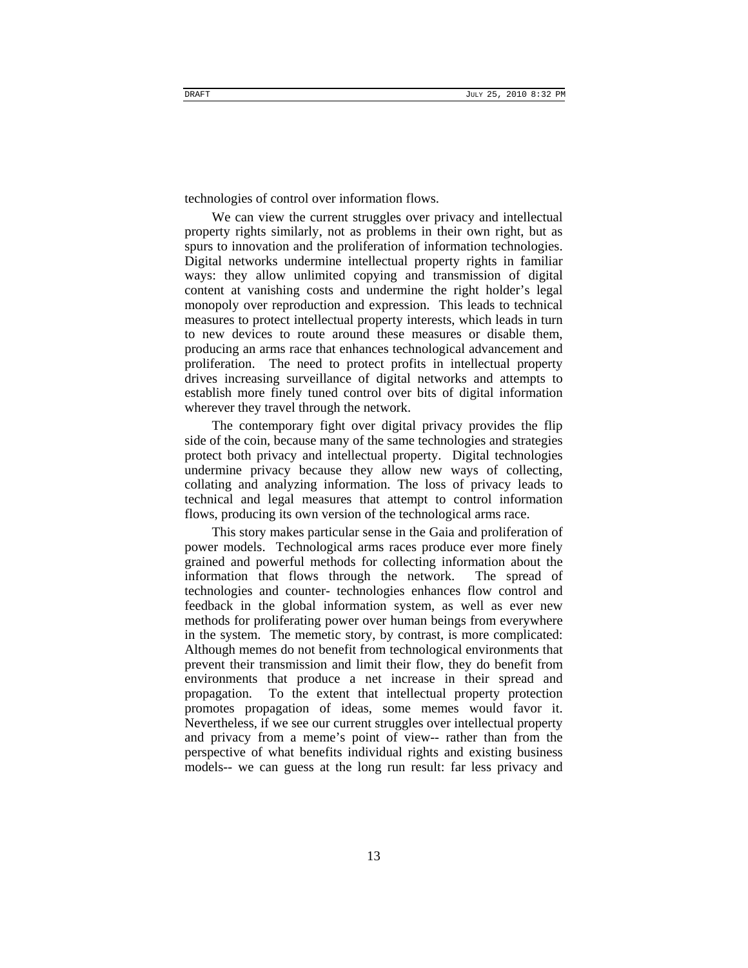technologies of control over information flows.

We can view the current struggles over privacy and intellectual property rights similarly, not as problems in their own right, but as spurs to innovation and the proliferation of information technologies. Digital networks undermine intellectual property rights in familiar ways: they allow unlimited copying and transmission of digital content at vanishing costs and undermine the right holder's legal monopoly over reproduction and expression. This leads to technical measures to protect intellectual property interests, which leads in turn to new devices to route around these measures or disable them, producing an arms race that enhances technological advancement and proliferation. The need to protect profits in intellectual property drives increasing surveillance of digital networks and attempts to establish more finely tuned control over bits of digital information wherever they travel through the network.

The contemporary fight over digital privacy provides the flip side of the coin, because many of the same technologies and strategies protect both privacy and intellectual property. Digital technologies undermine privacy because they allow new ways of collecting, collating and analyzing information. The loss of privacy leads to technical and legal measures that attempt to control information flows, producing its own version of the technological arms race.

This story makes particular sense in the Gaia and proliferation of power models. Technological arms races produce ever more finely grained and powerful methods for collecting information about the information that flows through the network. The spread of technologies and counter- technologies enhances flow control and feedback in the global information system, as well as ever new methods for proliferating power over human beings from everywhere in the system. The memetic story, by contrast, is more complicated: Although memes do not benefit from technological environments that prevent their transmission and limit their flow, they do benefit from environments that produce a net increase in their spread and propagation. To the extent that intellectual property protection promotes propagation of ideas, some memes would favor it. Nevertheless, if we see our current struggles over intellectual property and privacy from a meme's point of view-- rather than from the perspective of what benefits individual rights and existing business models-- we can guess at the long run result: far less privacy and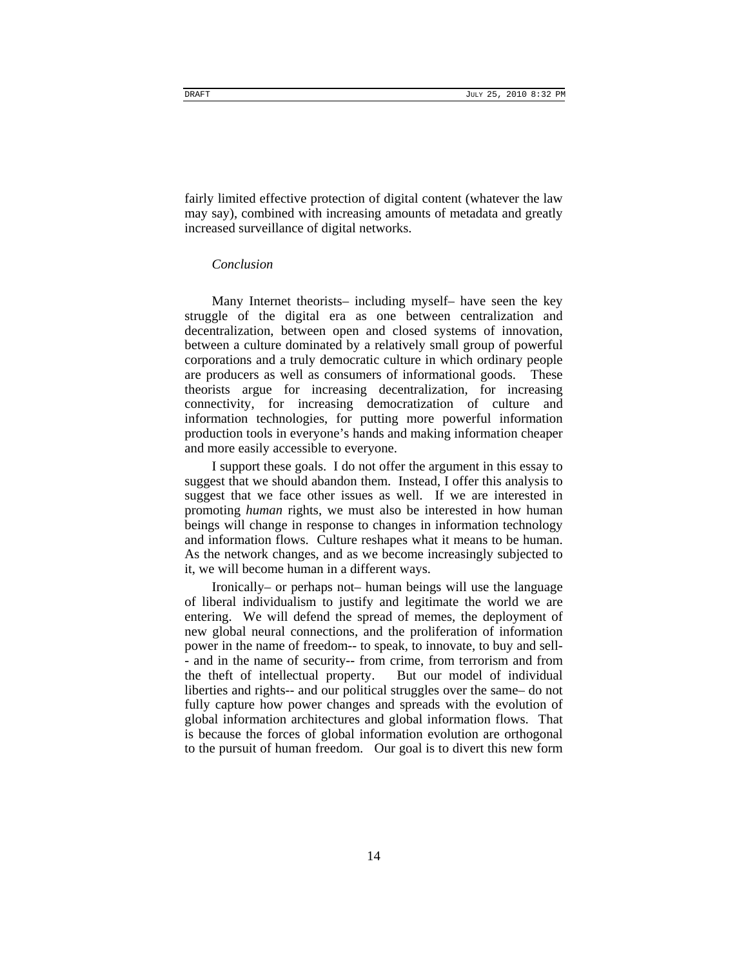fairly limited effective protection of digital content (whatever the law may say), combined with increasing amounts of metadata and greatly increased surveillance of digital networks.

# *Conclusion*

Many Internet theorists– including myself– have seen the key struggle of the digital era as one between centralization and decentralization, between open and closed systems of innovation, between a culture dominated by a relatively small group of powerful corporations and a truly democratic culture in which ordinary people are producers as well as consumers of informational goods. These theorists argue for increasing decentralization, for increasing connectivity, for increasing democratization of culture and information technologies, for putting more powerful information production tools in everyone's hands and making information cheaper and more easily accessible to everyone.

I support these goals. I do not offer the argument in this essay to suggest that we should abandon them. Instead, I offer this analysis to suggest that we face other issues as well. If we are interested in promoting *human* rights, we must also be interested in how human beings will change in response to changes in information technology and information flows. Culture reshapes what it means to be human. As the network changes, and as we become increasingly subjected to it, we will become human in a different ways.

Ironically– or perhaps not– human beings will use the language of liberal individualism to justify and legitimate the world we are entering. We will defend the spread of memes, the deployment of new global neural connections, and the proliferation of information power in the name of freedom-- to speak, to innovate, to buy and sell- - and in the name of security-- from crime, from terrorism and from the theft of intellectual property. But our model of individual liberties and rights-- and our political struggles over the same– do not fully capture how power changes and spreads with the evolution of global information architectures and global information flows. That is because the forces of global information evolution are orthogonal to the pursuit of human freedom. Our goal is to divert this new form